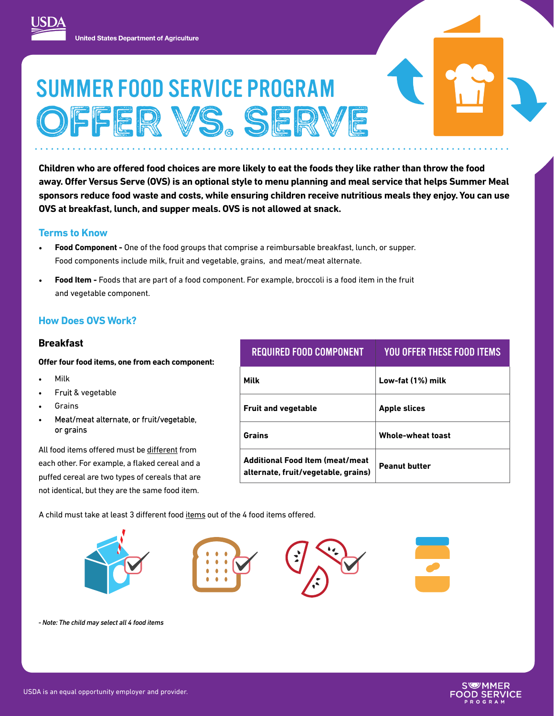# SUMMER FOOD SERVICE PROGRAM OFFER VS. SERVE

 **sponsors reduce food waste and costs, while ensuring children receive nutritious meals they enjoy. You can use Children who are offered food choices are more likely to eat the foods they like rather than throw the food away. Offer Versus Serve (OVS) is an optional style to menu planning and meal service that helps Summer Meal OVS at breakfast, lunch, and supper meals. OVS is not allowed at snack.** 

#### **Terms to Know**

- **Food Component -** One of the food groups that comprise a reimbursable breakfast, lunch, or supper. Food components include milk, fruit and vegetable, grains, and meat/meat alternate.
- **Food Item -** Foods that are part of a food component. For example, broccoli is a food item in the fruit and vegetable component.

## **How Does OVS Work?**

#### **Breakfast**

**Offer four food items, one from each component:** 

- Milk
- Fruit & vegetable
- **Grains**
- Meat/meat alternate, or fruit/vegetable, or grains

All food items offered must be different from each other. For example, a flaked cereal and a puffed cereal are two types of cereals that are not identical, but they are the same food item.

| <b>REQUIRED FOOD COMPONENT</b>                                                 | YOU OFFER THESE FOOD ITEMS |
|--------------------------------------------------------------------------------|----------------------------|
| Milk                                                                           | Low-fat (1%) milk          |
| <b>Fruit and vegetable</b>                                                     | <b>Apple slices</b>        |
| Grains                                                                         | <b>Whole-wheat toast</b>   |
| <b>Additional Food Item (meat/meat)</b><br>alternate, fruit/vegetable, grains) | <b>Peanut butter</b>       |

A child must take at least 3 different food items out of the 4 food items offered.



*- Note: The child may select all 4 food items*